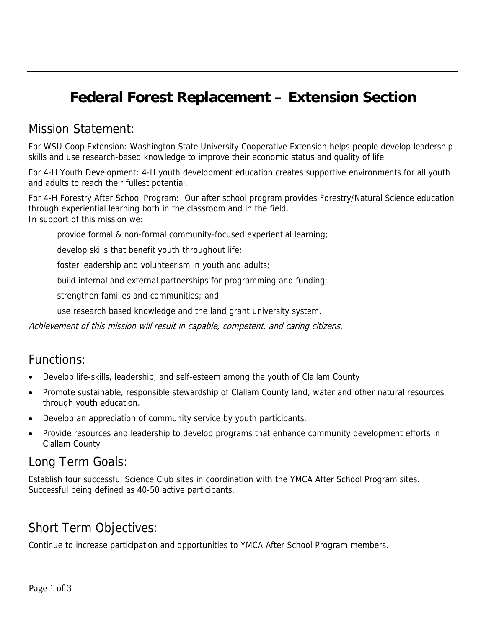## **Federal Forest Replacement – Extension Section**

#### Mission Statement:

For WSU Coop Extension: Washington State University Cooperative Extension helps people develop leadership skills and use research-based knowledge to improve their economic status and quality of life.

For 4-H Youth Development: 4-H youth development education creates supportive environments for all youth and adults to reach their fullest potential.

For 4-H Forestry After School Program: Our after school program provides Forestry/Natural Science education through experiential learning both in the classroom and in the field. In support of this mission we:

provide formal & non-formal community-focused experiential learning;

develop skills that benefit youth throughout life;

foster leadership and volunteerism in youth and adults;

build internal and external partnerships for programming and funding;

strengthen families and communities; and

use research based knowledge and the land grant university system.

Achievement of this mission will result in capable, competent, and caring citizens.

#### Functions:

- Develop life-skills, leadership, and self-esteem among the youth of Clallam County
- Promote sustainable, responsible stewardship of Clallam County land, water and other natural resources through youth education.
- Develop an appreciation of community service by youth participants.
- Provide resources and leadership to develop programs that enhance community development efforts in Clallam County

### Long Term Goals:

Establish four successful Science Club sites in coordination with the YMCA After School Program sites. Successful being defined as 40-50 active participants.

## Short Term Objectives:

Continue to increase participation and opportunities to YMCA After School Program members.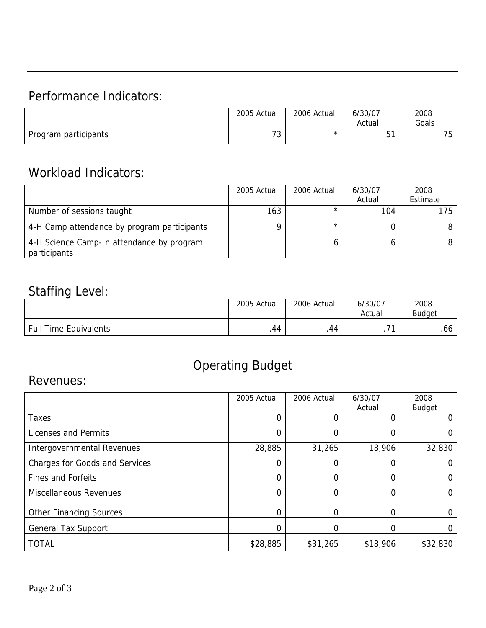## Performance Indicators:

|                      | 2005 Actual | 2006 Actual | 6/30/07<br>Actual | 2008<br>Goals              |
|----------------------|-------------|-------------|-------------------|----------------------------|
| Program participants | 70<br>ر ،   | ⌒           | $-1$<br>ັບ        | 7 <sub>0</sub><br>h<br>ں ، |

## Workload Indicators:

|                                                           | 2005 Actual | 2006 Actual | 6/30/07<br>Actual | 2008<br>Estimate |
|-----------------------------------------------------------|-------------|-------------|-------------------|------------------|
| Number of sessions taught                                 | 163         |             | 104               | 175              |
| 4-H Camp attendance by program participants               |             |             |                   |                  |
| 4-H Science Camp-In attendance by program<br>participants |             |             |                   |                  |

### Staffing Level:

|                              | 2005 Actual | 2006 Actual | 6/30/07<br>Actual | 2008<br><b>Budaet</b> |
|------------------------------|-------------|-------------|-------------------|-----------------------|
| <b>Full Time Equivalents</b> | .44         | .44         | ÷<br>. .          | .66                   |

# Operating Budget

### Revenues:

|                                       | 2005 Actual | 2006 Actual | 6/30/07<br>Actual | 2008<br><b>Budget</b> |
|---------------------------------------|-------------|-------------|-------------------|-----------------------|
| Taxes                                 | 0           | 0           |                   | 0                     |
| <b>Licenses and Permits</b>           | 0           | 0           | 0                 | 0                     |
| Intergovernmental Revenues            | 28,885      | 31,265      | 18,906            | 32,830                |
| <b>Charges for Goods and Services</b> | 0           | 0           | 0                 | 0                     |
| <b>Fines and Forfeits</b>             | 0           | 0           | 0                 | Ω                     |
| <b>Miscellaneous Revenues</b>         | 0           | 0           | 0                 | 0                     |
| <b>Other Financing Sources</b>        | 0           | 0           | ∩                 |                       |
| <b>General Tax Support</b>            |             | 0           |                   |                       |
| <b>TOTAL</b>                          | \$28,885    | \$31,265    | \$18,906          | \$32,830              |